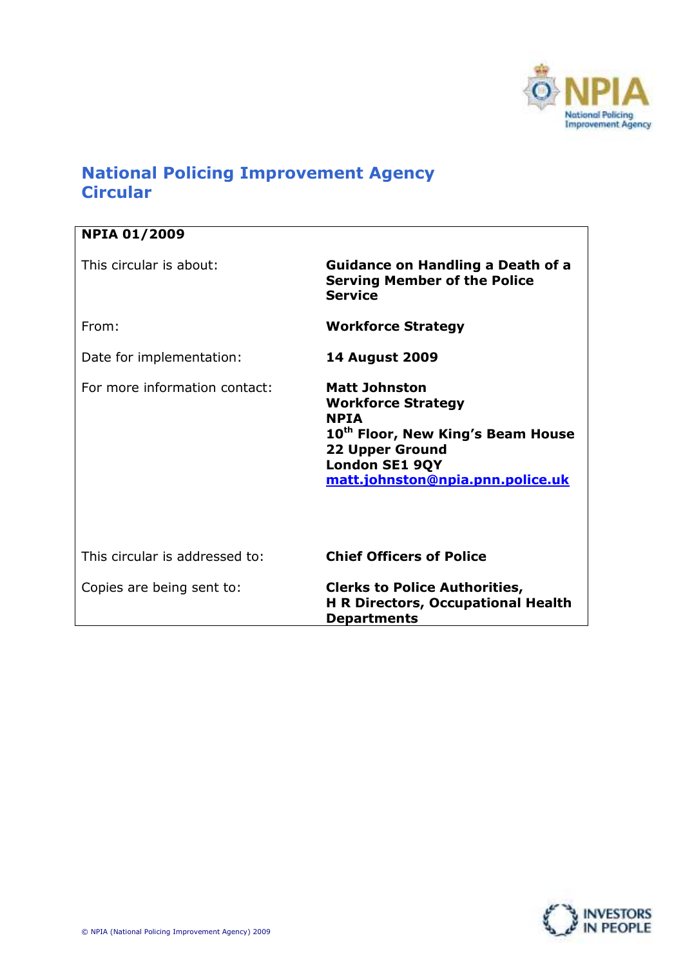

# National Policing Improvement Agency **Circular**

| <b>NPIA 01/2009</b>            |                                                                                                                                                                                                          |  |
|--------------------------------|----------------------------------------------------------------------------------------------------------------------------------------------------------------------------------------------------------|--|
| This circular is about:        | <b>Guidance on Handling a Death of a</b><br><b>Serving Member of the Police</b><br><b>Service</b>                                                                                                        |  |
| From:                          | <b>Workforce Strategy</b>                                                                                                                                                                                |  |
| Date for implementation:       | <b>14 August 2009</b>                                                                                                                                                                                    |  |
| For more information contact:  | <b>Matt Johnston</b><br><b>Workforce Strategy</b><br><b>NPTA</b><br>10 <sup>th</sup> Floor, New King's Beam House<br><b>22 Upper Ground</b><br><b>London SE1 9QY</b><br>matt.johnston@npia.pnn.police.uk |  |
| This circular is addressed to: | <b>Chief Officers of Police</b>                                                                                                                                                                          |  |
| Copies are being sent to:      | <b>Clerks to Police Authorities,</b><br><b>H R Directors, Occupational Health</b><br><b>Departments</b>                                                                                                  |  |

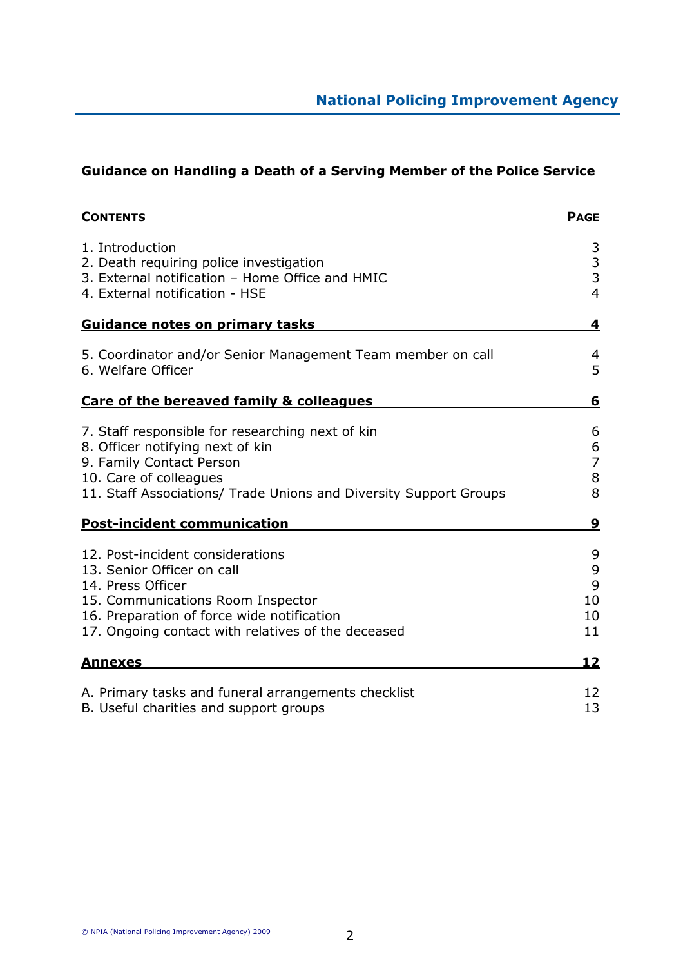# Guidance on Handling a Death of a Serving Member of the Police Service

| <b>CONTENTS</b>                                                                                                                                                                                                              | <b>PAGE</b>                          |
|------------------------------------------------------------------------------------------------------------------------------------------------------------------------------------------------------------------------------|--------------------------------------|
| 1. Introduction<br>2. Death requiring police investigation<br>3. External notification - Home Office and HMIC<br>4. External notification - HSE                                                                              | 3<br>$\frac{3}{3}$<br>$\overline{4}$ |
| <b>Guidance notes on primary tasks</b>                                                                                                                                                                                       | 4                                    |
| 5. Coordinator and/or Senior Management Team member on call<br>6. Welfare Officer                                                                                                                                            | 4<br>5                               |
| Care of the bereaved family & colleagues                                                                                                                                                                                     | 6                                    |
| 7. Staff responsible for researching next of kin<br>8. Officer notifying next of kin<br>9. Family Contact Person<br>10. Care of colleagues<br>11. Staff Associations/ Trade Unions and Diversity Support Groups              | 6<br>6<br>$\overline{7}$<br>8<br>8   |
| <b>Post-incident communication</b>                                                                                                                                                                                           | 9                                    |
| 12. Post-incident considerations<br>13. Senior Officer on call<br>14. Press Officer<br>15. Communications Room Inspector<br>16. Preparation of force wide notification<br>17. Ongoing contact with relatives of the deceased | 9<br>9<br>9<br>10<br>10<br>11        |
| <u>Annexes</u>                                                                                                                                                                                                               | 12                                   |
| A. Primary tasks and funeral arrangements checklist<br>B. Useful charities and support groups                                                                                                                                | 12<br>13                             |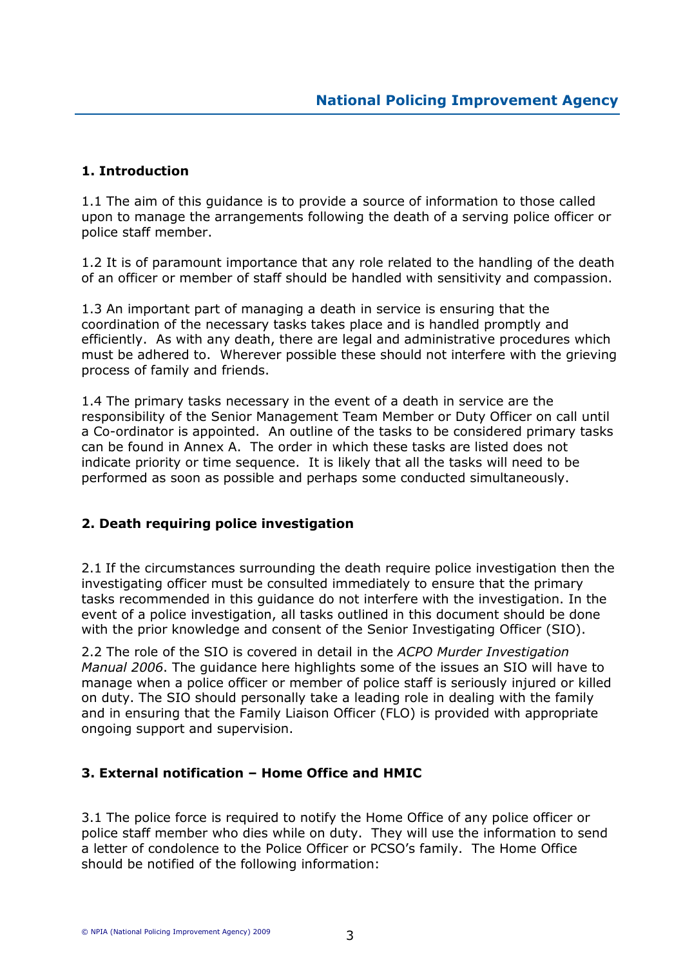# 1. Introduction

1.1 The aim of this guidance is to provide a source of information to those called upon to manage the arrangements following the death of a serving police officer or police staff member.

1.2 It is of paramount importance that any role related to the handling of the death of an officer or member of staff should be handled with sensitivity and compassion.

1.3 An important part of managing a death in service is ensuring that the coordination of the necessary tasks takes place and is handled promptly and efficiently. As with any death, there are legal and administrative procedures which must be adhered to. Wherever possible these should not interfere with the grieving process of family and friends.

1.4 The primary tasks necessary in the event of a death in service are the responsibility of the Senior Management Team Member or Duty Officer on call until a Co-ordinator is appointed. An outline of the tasks to be considered primary tasks can be found in Annex A. The order in which these tasks are listed does not indicate priority or time sequence. It is likely that all the tasks will need to be performed as soon as possible and perhaps some conducted simultaneously.

# 2. Death requiring police investigation

2.1 If the circumstances surrounding the death require police investigation then the investigating officer must be consulted immediately to ensure that the primary tasks recommended in this guidance do not interfere with the investigation. In the event of a police investigation, all tasks outlined in this document should be done with the prior knowledge and consent of the Senior Investigating Officer (SIO).

2.2 The role of the SIO is covered in detail in the ACPO Murder Investigation Manual 2006. The guidance here highlights some of the issues an SIO will have to manage when a police officer or member of police staff is seriously injured or killed on duty. The SIO should personally take a leading role in dealing with the family and in ensuring that the Family Liaison Officer (FLO) is provided with appropriate ongoing support and supervision.

# 3. External notification – Home Office and HMIC

3.1 The police force is required to notify the Home Office of any police officer or police staff member who dies while on duty. They will use the information to send a letter of condolence to the Police Officer or PCSO's family. The Home Office should be notified of the following information: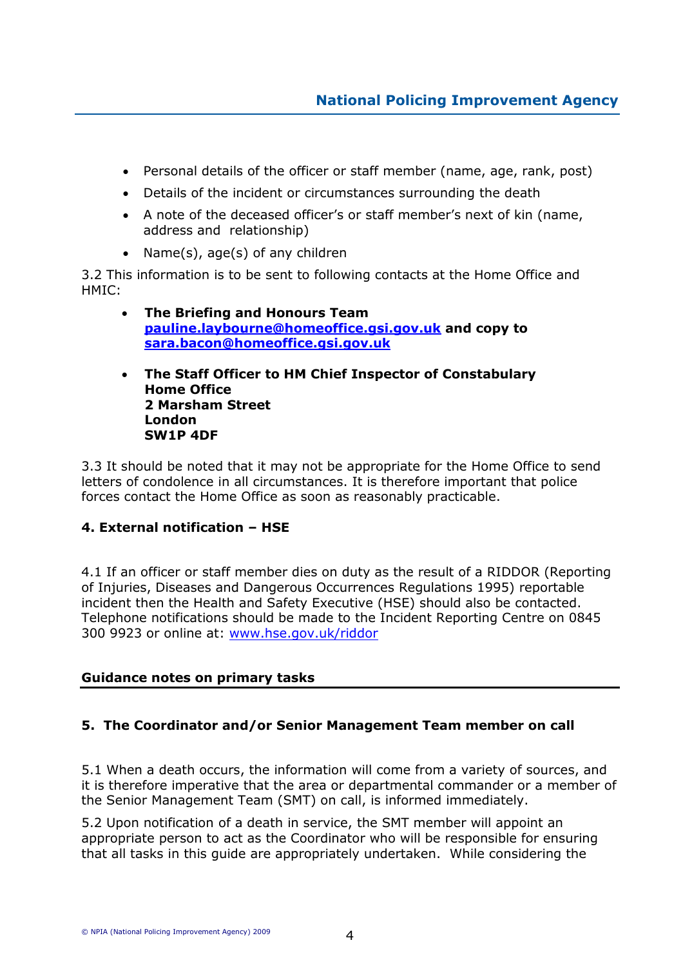- Personal details of the officer or staff member (name, age, rank, post)
- Details of the incident or circumstances surrounding the death
- A note of the deceased officer's or staff member's next of kin (name, address and relationship)
- Name(s), age(s) of any children

3.2 This information is to be sent to following contacts at the Home Office and HMIC:

- The Briefing and Honours Team pauline.laybourne@homeoffice.gsi.gov.uk and copy to sara.bacon@homeoffice.gsi.gov.uk
- The Staff Officer to HM Chief Inspector of Constabulary Home Office 2 Marsham Street London SW1P 4DF

3.3 It should be noted that it may not be appropriate for the Home Office to send letters of condolence in all circumstances. It is therefore important that police forces contact the Home Office as soon as reasonably practicable.

### 4. External notification – HSE

4.1 If an officer or staff member dies on duty as the result of a RIDDOR (Reporting of Injuries, Diseases and Dangerous Occurrences Regulations 1995) reportable incident then the Health and Safety Executive (HSE) should also be contacted. Telephone notifications should be made to the Incident Reporting Centre on 0845 300 9923 or online at: www.hse.gov.uk/riddor

### Guidance notes on primary tasks

### 5. The Coordinator and/or Senior Management Team member on call

5.1 When a death occurs, the information will come from a variety of sources, and it is therefore imperative that the area or departmental commander or a member of the Senior Management Team (SMT) on call, is informed immediately.

5.2 Upon notification of a death in service, the SMT member will appoint an appropriate person to act as the Coordinator who will be responsible for ensuring that all tasks in this guide are appropriately undertaken. While considering the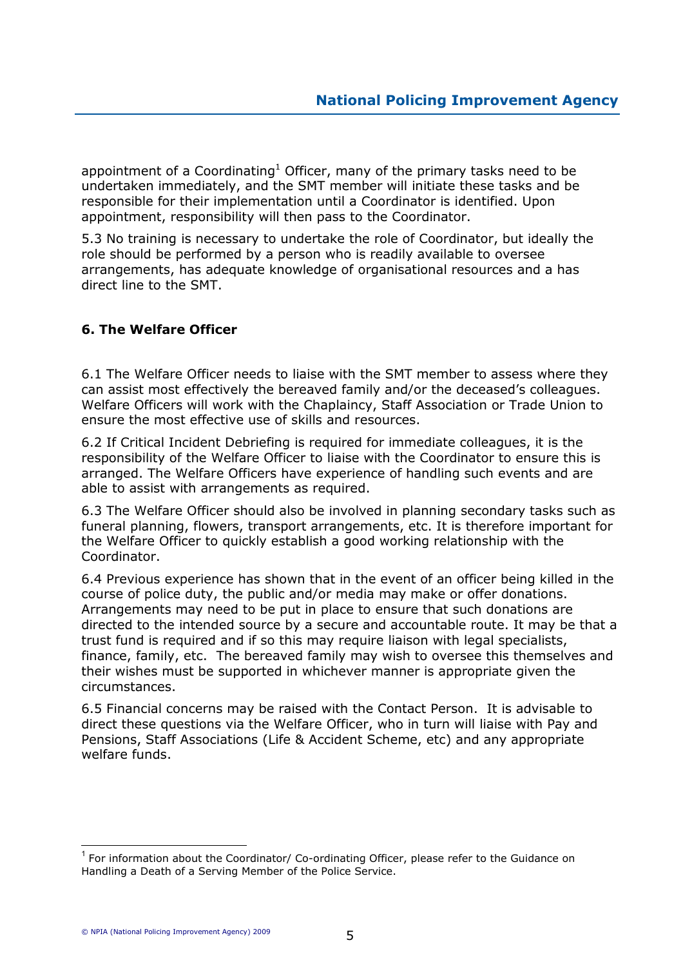appointment of a Coordinating<sup>1</sup> Officer, many of the primary tasks need to be undertaken immediately, and the SMT member will initiate these tasks and be responsible for their implementation until a Coordinator is identified. Upon appointment, responsibility will then pass to the Coordinator.

5.3 No training is necessary to undertake the role of Coordinator, but ideally the role should be performed by a person who is readily available to oversee arrangements, has adequate knowledge of organisational resources and a has direct line to the SMT.

# 6. The Welfare Officer

6.1 The Welfare Officer needs to liaise with the SMT member to assess where they can assist most effectively the bereaved family and/or the deceased's colleagues. Welfare Officers will work with the Chaplaincy, Staff Association or Trade Union to ensure the most effective use of skills and resources.

6.2 If Critical Incident Debriefing is required for immediate colleagues, it is the responsibility of the Welfare Officer to liaise with the Coordinator to ensure this is arranged. The Welfare Officers have experience of handling such events and are able to assist with arrangements as required.

6.3 The Welfare Officer should also be involved in planning secondary tasks such as funeral planning, flowers, transport arrangements, etc. It is therefore important for the Welfare Officer to quickly establish a good working relationship with the Coordinator.

6.4 Previous experience has shown that in the event of an officer being killed in the course of police duty, the public and/or media may make or offer donations. Arrangements may need to be put in place to ensure that such donations are directed to the intended source by a secure and accountable route. It may be that a trust fund is required and if so this may require liaison with legal specialists, finance, family, etc. The bereaved family may wish to oversee this themselves and their wishes must be supported in whichever manner is appropriate given the circumstances.

6.5 Financial concerns may be raised with the Contact Person. It is advisable to direct these questions via the Welfare Officer, who in turn will liaise with Pay and Pensions, Staff Associations (Life & Accident Scheme, etc) and any appropriate welfare funds.

 $\overline{a}$ 

 $1$  For information about the Coordinator/ Co-ordinating Officer, please refer to the Guidance on Handling a Death of a Serving Member of the Police Service.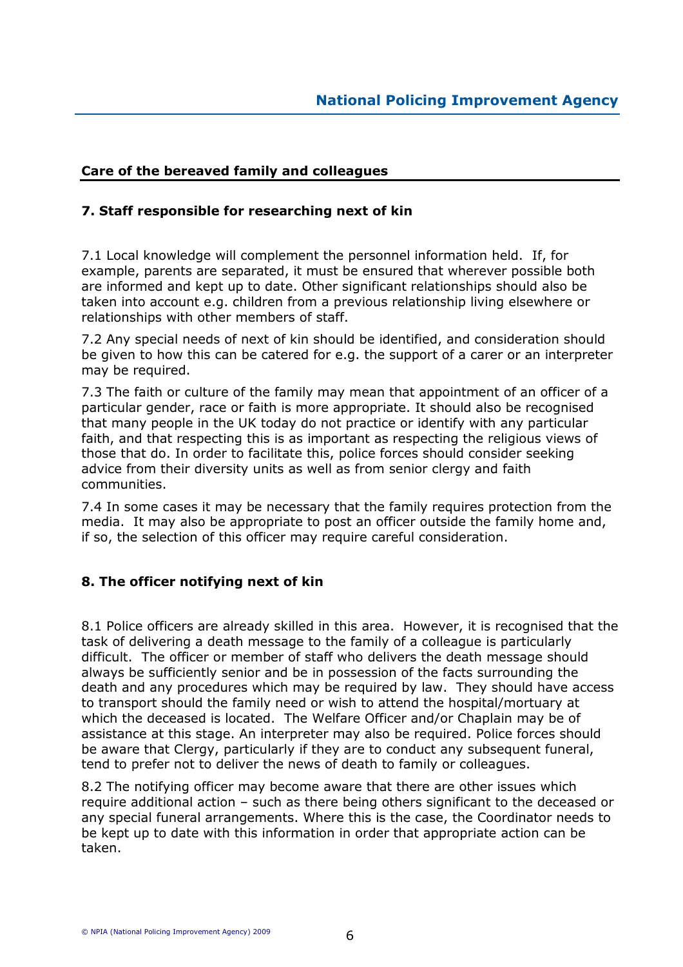# Care of the bereaved family and colleagues

## 7. Staff responsible for researching next of kin

7.1 Local knowledge will complement the personnel information held. If, for example, parents are separated, it must be ensured that wherever possible both are informed and kept up to date. Other significant relationships should also be taken into account e.g. children from a previous relationship living elsewhere or relationships with other members of staff.

7.2 Any special needs of next of kin should be identified, and consideration should be given to how this can be catered for e.g. the support of a carer or an interpreter may be required.

7.3 The faith or culture of the family may mean that appointment of an officer of a particular gender, race or faith is more appropriate. It should also be recognised that many people in the UK today do not practice or identify with any particular faith, and that respecting this is as important as respecting the religious views of those that do. In order to facilitate this, police forces should consider seeking advice from their diversity units as well as from senior clergy and faith communities.

7.4 In some cases it may be necessary that the family requires protection from the media. It may also be appropriate to post an officer outside the family home and, if so, the selection of this officer may require careful consideration.

# 8. The officer notifying next of kin

8.1 Police officers are already skilled in this area. However, it is recognised that the task of delivering a death message to the family of a colleague is particularly difficult. The officer or member of staff who delivers the death message should always be sufficiently senior and be in possession of the facts surrounding the death and any procedures which may be required by law. They should have access to transport should the family need or wish to attend the hospital/mortuary at which the deceased is located. The Welfare Officer and/or Chaplain may be of assistance at this stage. An interpreter may also be required. Police forces should be aware that Clergy, particularly if they are to conduct any subsequent funeral, tend to prefer not to deliver the news of death to family or colleagues.

8.2 The notifying officer may become aware that there are other issues which require additional action – such as there being others significant to the deceased or any special funeral arrangements. Where this is the case, the Coordinator needs to be kept up to date with this information in order that appropriate action can be taken.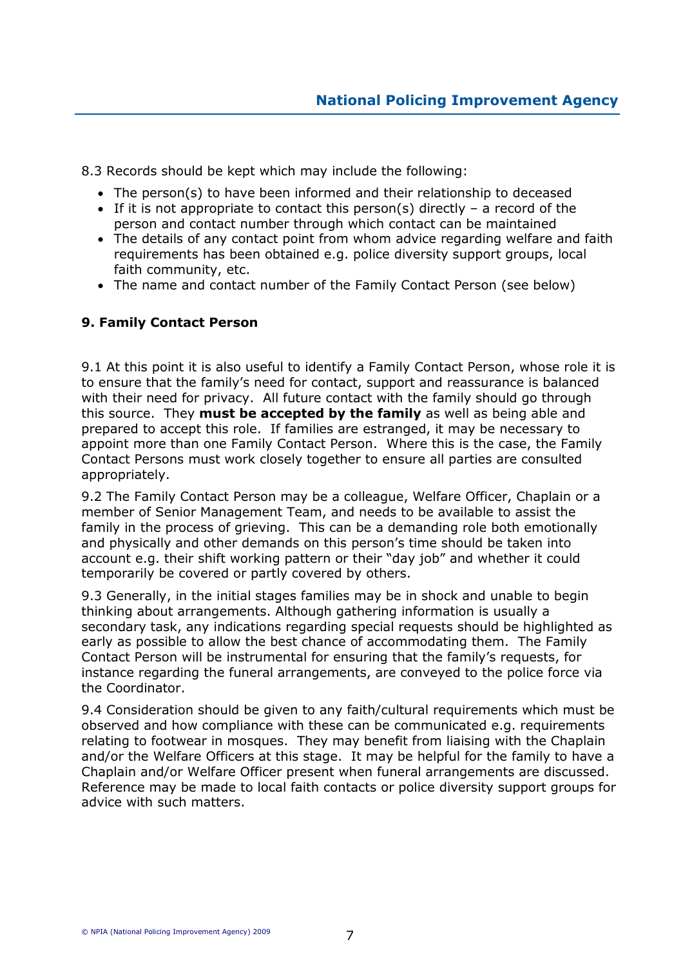8.3 Records should be kept which may include the following:

- The person(s) to have been informed and their relationship to deceased
- If it is not appropriate to contact this person(s) directly a record of the person and contact number through which contact can be maintained
- The details of any contact point from whom advice regarding welfare and faith requirements has been obtained e.g. police diversity support groups, local faith community, etc.
- The name and contact number of the Family Contact Person (see below)

# 9. Family Contact Person

9.1 At this point it is also useful to identify a Family Contact Person, whose role it is to ensure that the family's need for contact, support and reassurance is balanced with their need for privacy. All future contact with the family should go through this source. They must be accepted by the family as well as being able and prepared to accept this role. If families are estranged, it may be necessary to appoint more than one Family Contact Person. Where this is the case, the Family Contact Persons must work closely together to ensure all parties are consulted appropriately.

9.2 The Family Contact Person may be a colleague, Welfare Officer, Chaplain or a member of Senior Management Team, and needs to be available to assist the family in the process of grieving. This can be a demanding role both emotionally and physically and other demands on this person's time should be taken into account e.g. their shift working pattern or their "day job" and whether it could temporarily be covered or partly covered by others.

9.3 Generally, in the initial stages families may be in shock and unable to begin thinking about arrangements. Although gathering information is usually a secondary task, any indications regarding special requests should be highlighted as early as possible to allow the best chance of accommodating them. The Family Contact Person will be instrumental for ensuring that the family's requests, for instance regarding the funeral arrangements, are conveyed to the police force via the Coordinator.

9.4 Consideration should be given to any faith/cultural requirements which must be observed and how compliance with these can be communicated e.g. requirements relating to footwear in mosques. They may benefit from liaising with the Chaplain and/or the Welfare Officers at this stage. It may be helpful for the family to have a Chaplain and/or Welfare Officer present when funeral arrangements are discussed. Reference may be made to local faith contacts or police diversity support groups for advice with such matters.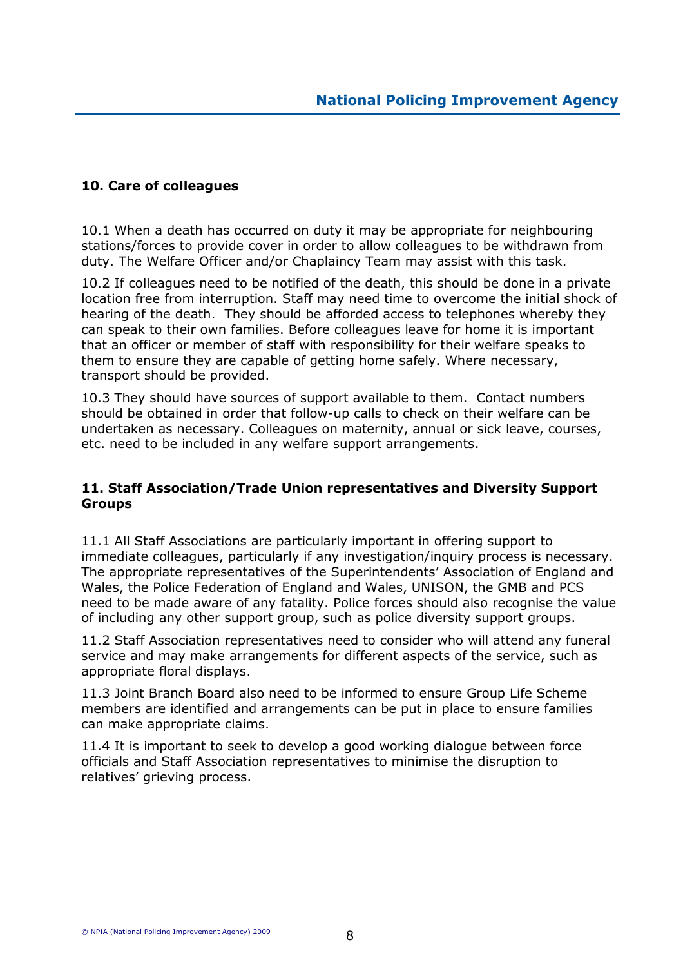## 10. Care of colleagues

10.1 When a death has occurred on duty it may be appropriate for neighbouring stations/forces to provide cover in order to allow colleagues to be withdrawn from duty. The Welfare Officer and/or Chaplaincy Team may assist with this task.

10.2 If colleagues need to be notified of the death, this should be done in a private location free from interruption. Staff may need time to overcome the initial shock of hearing of the death. They should be afforded access to telephones whereby they can speak to their own families. Before colleagues leave for home it is important that an officer or member of staff with responsibility for their welfare speaks to them to ensure they are capable of getting home safely. Where necessary, transport should be provided.

10.3 They should have sources of support available to them. Contact numbers should be obtained in order that follow-up calls to check on their welfare can be undertaken as necessary. Colleagues on maternity, annual or sick leave, courses, etc. need to be included in any welfare support arrangements.

### 11. Staff Association/Trade Union representatives and Diversity Support **Groups**

11.1 All Staff Associations are particularly important in offering support to immediate colleagues, particularly if any investigation/inquiry process is necessary. The appropriate representatives of the Superintendents' Association of England and Wales, the Police Federation of England and Wales, UNISON, the GMB and PCS need to be made aware of any fatality. Police forces should also recognise the value of including any other support group, such as police diversity support groups.

11.2 Staff Association representatives need to consider who will attend any funeral service and may make arrangements for different aspects of the service, such as appropriate floral displays.

11.3 Joint Branch Board also need to be informed to ensure Group Life Scheme members are identified and arrangements can be put in place to ensure families can make appropriate claims.

11.4 It is important to seek to develop a good working dialogue between force officials and Staff Association representatives to minimise the disruption to relatives' grieving process.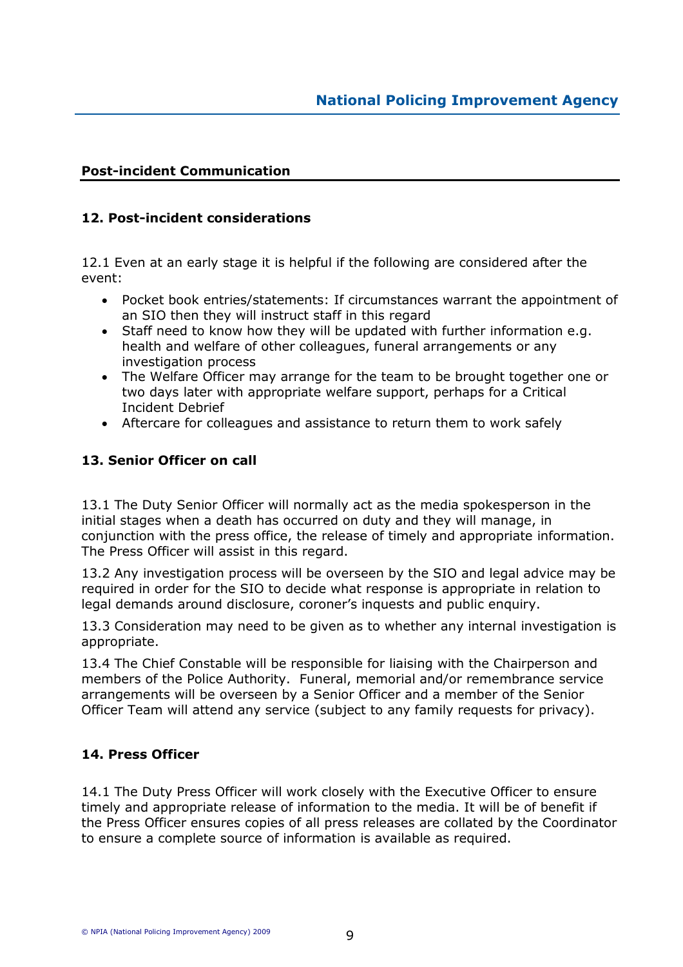# Post-incident Communication

### 12. Post-incident considerations

12.1 Even at an early stage it is helpful if the following are considered after the event:

- Pocket book entries/statements: If circumstances warrant the appointment of an SIO then they will instruct staff in this regard
- Staff need to know how they will be updated with further information e.g. health and welfare of other colleagues, funeral arrangements or any investigation process
- The Welfare Officer may arrange for the team to be brought together one or two days later with appropriate welfare support, perhaps for a Critical Incident Debrief
- Aftercare for colleagues and assistance to return them to work safely

### 13. Senior Officer on call

13.1 The Duty Senior Officer will normally act as the media spokesperson in the initial stages when a death has occurred on duty and they will manage, in conjunction with the press office, the release of timely and appropriate information. The Press Officer will assist in this regard.

13.2 Any investigation process will be overseen by the SIO and legal advice may be required in order for the SIO to decide what response is appropriate in relation to legal demands around disclosure, coroner's inquests and public enquiry.

13.3 Consideration may need to be given as to whether any internal investigation is appropriate.

13.4 The Chief Constable will be responsible for liaising with the Chairperson and members of the Police Authority. Funeral, memorial and/or remembrance service arrangements will be overseen by a Senior Officer and a member of the Senior Officer Team will attend any service (subject to any family requests for privacy).

### 14. Press Officer

14.1 The Duty Press Officer will work closely with the Executive Officer to ensure timely and appropriate release of information to the media. It will be of benefit if the Press Officer ensures copies of all press releases are collated by the Coordinator to ensure a complete source of information is available as required.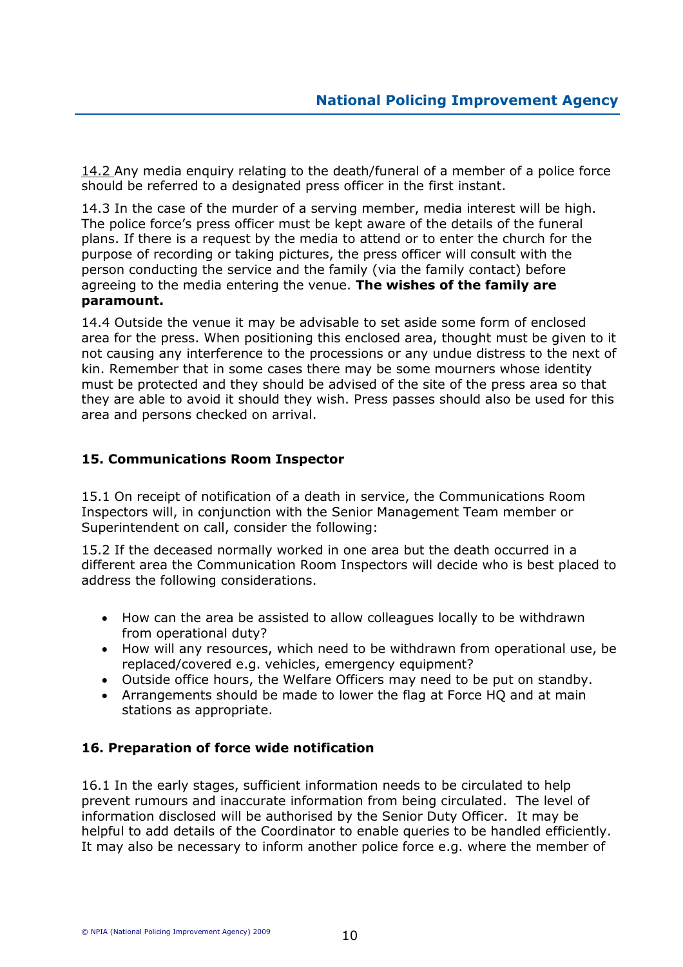14.2 Any media enquiry relating to the death/funeral of a member of a police force should be referred to a designated press officer in the first instant.

14.3 In the case of the murder of a serving member, media interest will be high. The police force's press officer must be kept aware of the details of the funeral plans. If there is a request by the media to attend or to enter the church for the purpose of recording or taking pictures, the press officer will consult with the person conducting the service and the family (via the family contact) before agreeing to the media entering the venue. The wishes of the family are paramount.

14.4 Outside the venue it may be advisable to set aside some form of enclosed area for the press. When positioning this enclosed area, thought must be given to it not causing any interference to the processions or any undue distress to the next of kin. Remember that in some cases there may be some mourners whose identity must be protected and they should be advised of the site of the press area so that they are able to avoid it should they wish. Press passes should also be used for this area and persons checked on arrival.

# 15. Communications Room Inspector

15.1 On receipt of notification of a death in service, the Communications Room Inspectors will, in conjunction with the Senior Management Team member or Superintendent on call, consider the following:

15.2 If the deceased normally worked in one area but the death occurred in a different area the Communication Room Inspectors will decide who is best placed to address the following considerations.

- How can the area be assisted to allow colleagues locally to be withdrawn from operational duty?
- How will any resources, which need to be withdrawn from operational use, be replaced/covered e.g. vehicles, emergency equipment?
- Outside office hours, the Welfare Officers may need to be put on standby.
- Arrangements should be made to lower the flag at Force HQ and at main stations as appropriate.

# 16. Preparation of force wide notification

16.1 In the early stages, sufficient information needs to be circulated to help prevent rumours and inaccurate information from being circulated. The level of information disclosed will be authorised by the Senior Duty Officer. It may be helpful to add details of the Coordinator to enable queries to be handled efficiently. It may also be necessary to inform another police force e.g. where the member of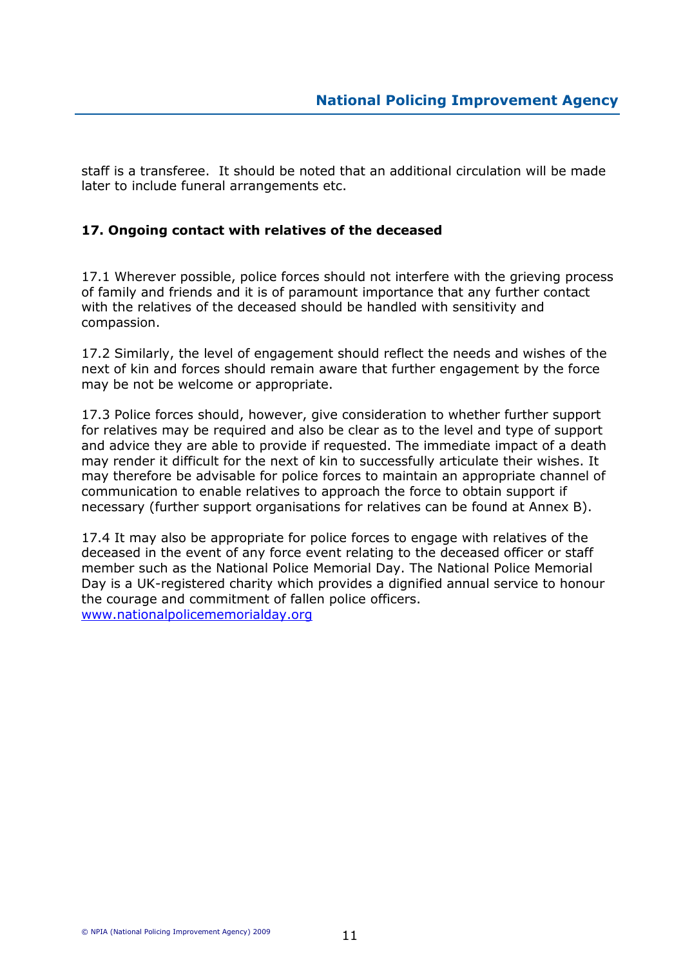staff is a transferee. It should be noted that an additional circulation will be made later to include funeral arrangements etc.

# 17. Ongoing contact with relatives of the deceased

17.1 Wherever possible, police forces should not interfere with the grieving process of family and friends and it is of paramount importance that any further contact with the relatives of the deceased should be handled with sensitivity and compassion.

17.2 Similarly, the level of engagement should reflect the needs and wishes of the next of kin and forces should remain aware that further engagement by the force may be not be welcome or appropriate.

17.3 Police forces should, however, give consideration to whether further support for relatives may be required and also be clear as to the level and type of support and advice they are able to provide if requested. The immediate impact of a death may render it difficult for the next of kin to successfully articulate their wishes. It may therefore be advisable for police forces to maintain an appropriate channel of communication to enable relatives to approach the force to obtain support if necessary (further support organisations for relatives can be found at Annex B).

17.4 It may also be appropriate for police forces to engage with relatives of the deceased in the event of any force event relating to the deceased officer or staff member such as the National Police Memorial Day. The National Police Memorial Day is a UK-registered charity which provides a dignified annual service to honour the courage and commitment of fallen police officers. www.nationalpolicememorialday.org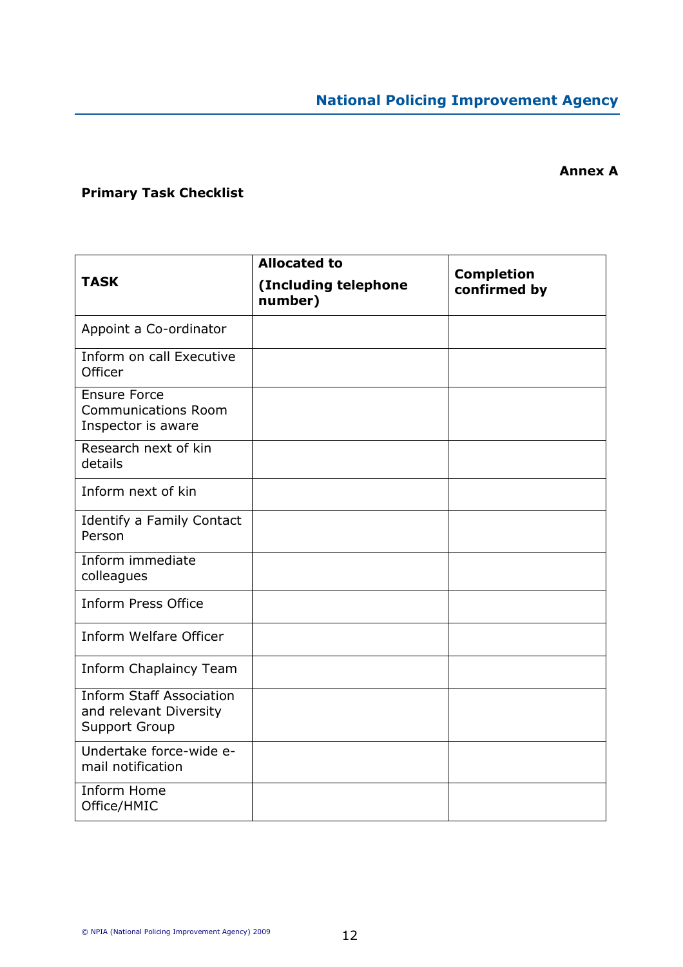# Annex A

# Primary Task Checklist

|                                                                                   | <b>Allocated to</b>             |                                   |
|-----------------------------------------------------------------------------------|---------------------------------|-----------------------------------|
| <b>TASK</b>                                                                       | (Including telephone<br>number) | <b>Completion</b><br>confirmed by |
| Appoint a Co-ordinator                                                            |                                 |                                   |
| Inform on call Executive<br>Officer                                               |                                 |                                   |
| <b>Ensure Force</b><br><b>Communications Room</b><br>Inspector is aware           |                                 |                                   |
| Research next of kin<br>details                                                   |                                 |                                   |
| Inform next of kin                                                                |                                 |                                   |
| Identify a Family Contact<br>Person                                               |                                 |                                   |
| Inform immediate<br>colleagues                                                    |                                 |                                   |
| <b>Inform Press Office</b>                                                        |                                 |                                   |
| <b>Inform Welfare Officer</b>                                                     |                                 |                                   |
| Inform Chaplaincy Team                                                            |                                 |                                   |
| <b>Inform Staff Association</b><br>and relevant Diversity<br><b>Support Group</b> |                                 |                                   |
| Undertake force-wide e-<br>mail notification                                      |                                 |                                   |
| Inform Home<br>Office/HMIC                                                        |                                 |                                   |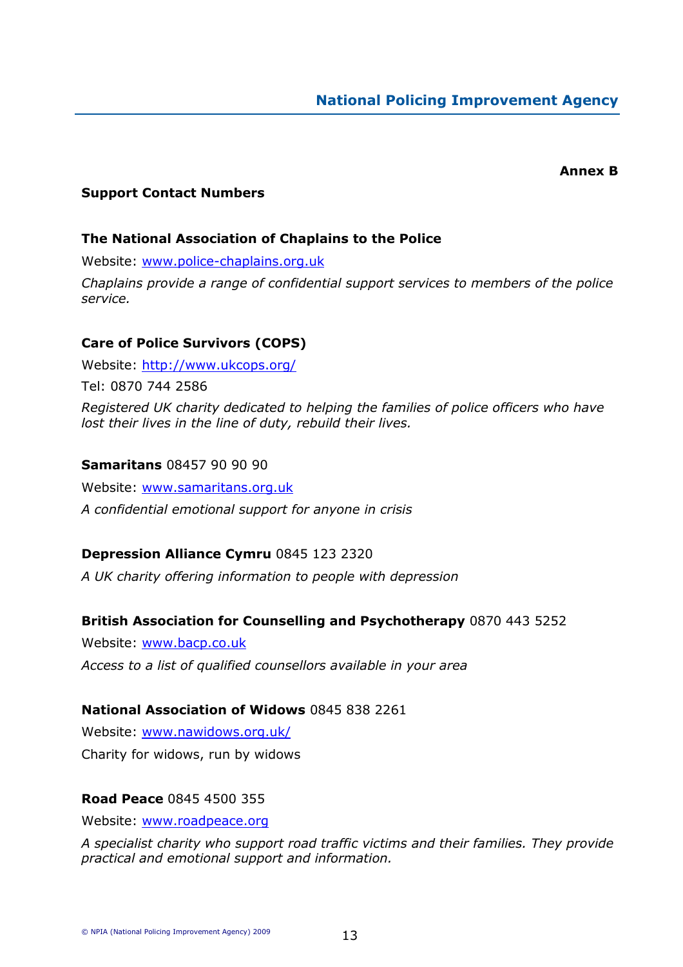#### Annex B

#### Support Contact Numbers

#### The National Association of Chaplains to the Police

Website: www.police-chaplains.org.uk

Chaplains provide a range of confidential support services to members of the police service.

### Care of Police Survivors (COPS)

Website: http://www.ukcops.org/ Tel: 0870 744 2586 Registered UK charity dedicated to helping the families of police officers who have lost their lives in the line of duty, rebuild their lives.

#### Samaritans 08457 90 90 90

Website: www.samaritans.org.uk A confidential emotional support for anyone in crisis

### Depression Alliance Cymru 0845 123 2320

A UK charity offering information to people with depression

#### British Association for Counselling and Psychotherapy 0870 443 5252

Website: www.bacp.co.uk Access to a list of qualified counsellors available in your area

#### National Association of Widows 0845 838 2261

Website: www.nawidows.org.uk/ Charity for widows, run by widows

#### Road Peace 0845 4500 355

Website: www.roadpeace.org

A specialist charity who support road traffic victims and their families. They provide practical and emotional support and information.